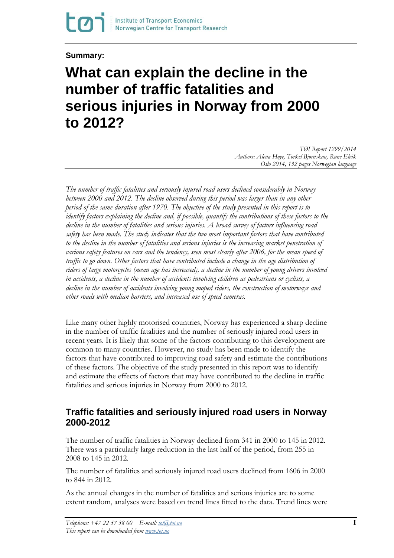**Summary:**

# **What can explain the decline in the number of traffic fatalities and serious injuries in Norway from 2000 to 2012?**

*TØI Report 1299/2014 Authors: Alena Høye, Torkel Bjørnskau, Rune Elvik Oslo 2014, 132 pages Norwegian language*

*The number of traffic fatalities and seriously injured road users declined considerably in Norway between 2000 and 2012. The decline observed during this period was larger than in any other period of the same duration after 1970. The objective of the study presented in this report is to identify factors explaining the decline and, if possible, quantify the contributions of these factors to the decline in the number of fatalities and serious injuries. A broad survey of factors influencing road safety has been made. The study indicates that the two most important factors that have contributed to the decline in the number of fatalities and serious injuries is the increasing market penetration of various safety features on cars and the tendency, seen most clearly after 2006, for the mean speed of traffic to go down.* Other factors that have contributed include a change in the age distribution of *riders of large motorcycles (mean age has increased), a decline in the number of young drivers involved in accidents, a decline in the number of accidents involving children as pedestrians or cyclists, a decline in the number of accidents involving young moped riders, the construction of motorways and other roads with median barriers, and increased use of speed cameras.*

Like many other highly motorised countries, Norway has experienced a sharp decline in the number of traffic fatalities and the number of seriously injured road users in recent years. It is likely that some of the factors contributing to this development are common to many countries. However, no study has been made to identify the factors that have contributed to improving road safety and estimate the contributions of these factors. The objective of the study presented in this report was to identify and estimate the effects of factors that may have contributed to the decline in traffic fatalities and serious injuries in Norway from 2000 to 2012.

## **Traffic fatalities and seriously injured road users in Norway 2000-2012**

The number of traffic fatalities in Norway declined from 341 in 2000 to 145 in 2012. There was a particularly large reduction in the last half of the period, from 255 in 2008 to 145 in 2012.

The number of fatalities and seriously injured road users declined from 1606 in 2000 to 844 in 2012.

As the annual changes in the number of fatalities and serious injuries are to some extent random, analyses were based on trend lines fitted to the data. Trend lines were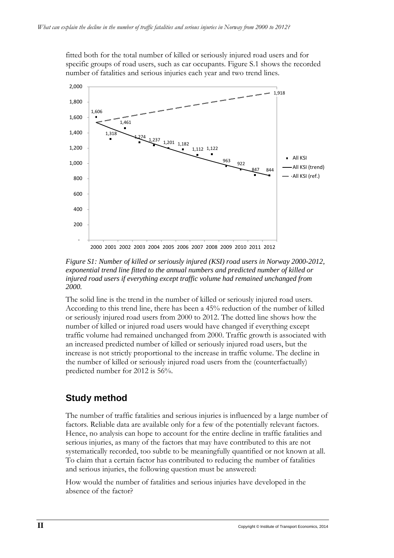fitted both for the total number of killed or seriously injured road users and for specific groups of road users, such as car occupants. Figure S.1 shows the recorded number of fatalities and serious injuries each year and two trend lines.



*Figure S1: Number of killed or seriously injured (KSI) road users in Norway 2000-2012, exponential trend line fitted to the annual numbers and predicted number of killed or injured road users if everything except traffic volume had remained unchanged from 2000.*

The solid line is the trend in the number of killed or seriously injured road users. According to this trend line, there has been a 45% reduction of the number of killed or seriously injured road users from 2000 to 2012. The dotted line shows how the number of killed or injured road users would have changed if everything except traffic volume had remained unchanged from 2000. Traffic growth is associated with an increased predicted number of killed or seriously injured road users, but the increase is not strictly proportional to the increase in traffic volume. The decline in the number of killed or seriously injured road users from the (counterfactually) predicted number for 2012 is 56%.

# **Study method**

The number of traffic fatalities and serious injuries is influenced by a large number of factors. Reliable data are available only for a few of the potentially relevant factors. Hence, no analysis can hope to account for the entire decline in traffic fatalities and serious injuries, as many of the factors that may have contributed to this are not systematically recorded, too subtle to be meaningfully quantified or not known at all. To claim that a certain factor has contributed to reducing the number of fatalities and serious injuries, the following question must be answered:

How would the number of fatalities and serious injuries have developed in the absence of the factor?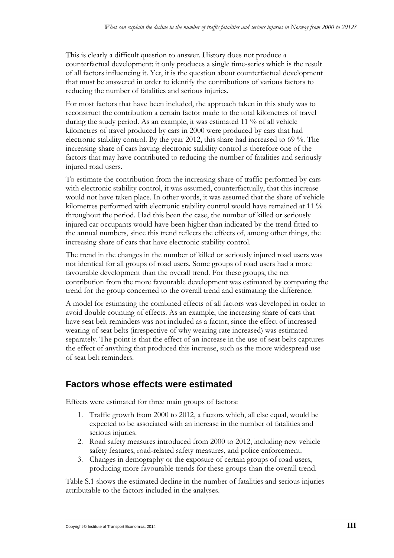This is clearly a difficult question to answer. History does not produce a counterfactual development; it only produces a single time-series which is the result of all factors influencing it. Yet, it is the question about counterfactual development that must be answered in order to identify the contributions of various factors to reducing the number of fatalities and serious injuries.

For most factors that have been included, the approach taken in this study was to reconstruct the contribution a certain factor made to the total kilometres of travel during the study period. As an example, it was estimated 11 % of all vehicle kilometres of travel produced by cars in 2000 were produced by cars that had electronic stability control. By the year 2012, this share had increased to 69 %. The increasing share of cars having electronic stability control is therefore one of the factors that may have contributed to reducing the number of fatalities and seriously injured road users.

To estimate the contribution from the increasing share of traffic performed by cars with electronic stability control, it was assumed, counterfactually, that this increase would not have taken place. In other words, it was assumed that the share of vehicle kilometres performed with electronic stability control would have remained at 11 % throughout the period. Had this been the case, the number of killed or seriously injured car occupants would have been higher than indicated by the trend fitted to the annual numbers, since this trend reflects the effects of, among other things, the increasing share of cars that have electronic stability control.

The trend in the changes in the number of killed or seriously injured road users was not identical for all groups of road users. Some groups of road users had a more favourable development than the overall trend. For these groups, the net contribution from the more favourable development was estimated by comparing the trend for the group concerned to the overall trend and estimating the difference.

A model for estimating the combined effects of all factors was developed in order to avoid double counting of effects. As an example, the increasing share of cars that have seat belt reminders was not included as a factor, since the effect of increased wearing of seat belts (irrespective of why wearing rate increased) was estimated separately. The point is that the effect of an increase in the use of seat belts captures the effect of anything that produced this increase, such as the more widespread use of seat belt reminders.

#### **Factors whose effects were estimated**

Effects were estimated for three main groups of factors:

- 1. Traffic growth from 2000 to 2012, a factors which, all else equal, would be expected to be associated with an increase in the number of fatalities and serious injuries.
- 2. Road safety measures introduced from 2000 to 2012, including new vehicle safety features, road-related safety measures, and police enforcement.
- 3. Changes in demography or the exposure of certain groups of road users, producing more favourable trends for these groups than the overall trend.

Table S.1 shows the estimated decline in the number of fatalities and serious injuries attributable to the factors included in the analyses.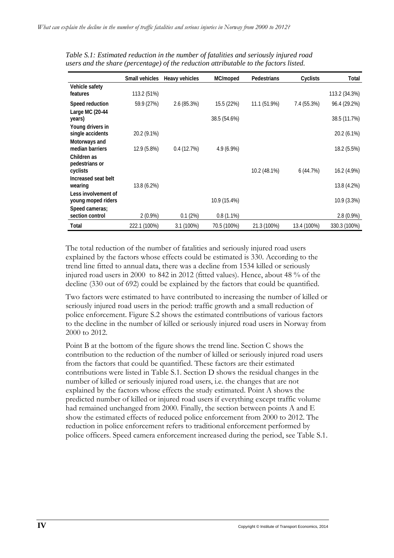|                                           | <b>Small vehicles</b> | Heavy vehicles | MC/moped     | Pedestrians  | Cyclists    | Total         |
|-------------------------------------------|-----------------------|----------------|--------------|--------------|-------------|---------------|
| Vehicle safety<br>features                | 113.2 (51%)           |                |              |              |             | 113.2 (34.3%) |
| Speed reduction                           | 59.9 (27%)            | 2.6(85.3%)     | 15.5 (22%)   | 11.1 (51.9%) | 7.4 (55.3%) | 96.4 (29.2%)  |
| Large MC (20-44<br>years)                 |                       |                | 38.5 (54.6%) |              |             | 38.5 (11.7%)  |
| Young drivers in<br>single accidents      | 20.2 (9.1%)           |                |              |              |             | 20.2 (6.1%)   |
| Motorways and<br>median barriers          | 12.9 (5.8%)           | 0.4(12.7%)     | $4.9(6.9\%)$ |              |             | 18.2 (5.5%)   |
| Children as<br>pedestrians or<br>cyclists |                       |                |              | 10.2 (48.1%) | 6(44.7%)    | 16.2 (4.9%)   |
| Increased seat belt<br>wearing            | 13.8 (6.2%)           |                |              |              |             | 13.8 (4.2%)   |
| Less involvement of<br>young moped riders |                       |                | 10.9 (15.4%) |              |             | 10.9 (3.3%)   |
| Speed cameras;<br>section control         | $2(0.9\%)$            | 0.1(2%)        | $0.8(1.1\%)$ |              |             | $2.8(0.9\%)$  |
| Total                                     | 222.1 (100%)          | $3.1(100\%)$   | 70.5 (100%)  | 21.3 (100%)  | 13.4 (100%) | 330.3 (100%)  |

*Table S.1: Estimated reduction in the number of fatalities and seriously injured road users and the share (percentage) of the reduction attributable to the factors listed.*

The total reduction of the number of fatalities and seriously injured road users explained by the factors whose effects could be estimated is 330. According to the trend line fitted to annual data, there was a decline from 1534 killed or seriously injured road users in 2000 to 842 in 2012 (fitted values). Hence, about 48 % of the decline (330 out of 692) could be explained by the factors that could be quantified.

Two factors were estimated to have contributed to increasing the number of killed or seriously injured road users in the period: traffic growth and a small reduction of police enforcement. Figure S.2 shows the estimated contributions of various factors to the decline in the number of killed or seriously injured road users in Norway from 2000 to 2012.

Point B at the bottom of the figure shows the trend line. Section C shows the contribution to the reduction of the number of killed or seriously injured road users from the factors that could be quantified. These factors are their estimated contributions were listed in Table S.1. Section D shows the residual changes in the number of killed or seriously injured road users, i.e. the changes that are not explained by the factors whose effects the study estimated. Point A shows the predicted number of killed or injured road users if everything except traffic volume had remained unchanged from 2000. Finally, the section between points A and E show the estimated effects of reduced police enforcement from 2000 to 2012. The reduction in police enforcement refers to traditional enforcement performed by police officers. Speed camera enforcement increased during the period, see Table S.1.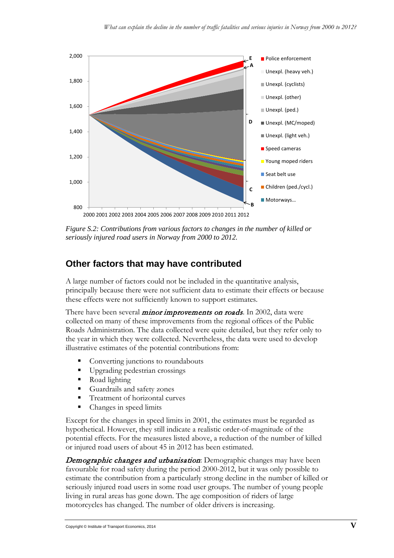

*Figure S.2: Contributions from various factors to changes in the number of killed or seriously injured road users in Norway from 2000 to 2012.*

## **Other factors that may have contributed**

A large number of factors could not be included in the quantitative analysis, principally because there were not sufficient data to estimate their effects or because these effects were not sufficiently known to support estimates.

There have been several *minor improvements on roads*. In 2002, data were collected on many of these improvements from the regional offices of the Public Roads Administration. The data collected were quite detailed, but they refer only to the year in which they were collected. Nevertheless, the data were used to develop illustrative estimates of the potential contributions from:

- Converting junctions to roundabouts
- Upgrading pedestrian crossings
- Road lighting
- Guardrails and safety zones
- Treatment of horizontal curves
- Changes in speed limits

Except for the changes in speed limits in 2001, the estimates must be regarded as hypothetical. However, they still indicate a realistic order-of-magnitude of the potential effects. For the measures listed above, a reduction of the number of killed or injured road users of about 45 in 2012 has been estimated.

Demographic changes and urbanisation: Demographic changes may have been favourable for road safety during the period 2000-2012, but it was only possible to estimate the contribution from a particularly strong decline in the number of killed or seriously injured road users in some road user groups. The number of young people living in rural areas has gone down. The age composition of riders of large motorcycles has changed. The number of older drivers is increasing.